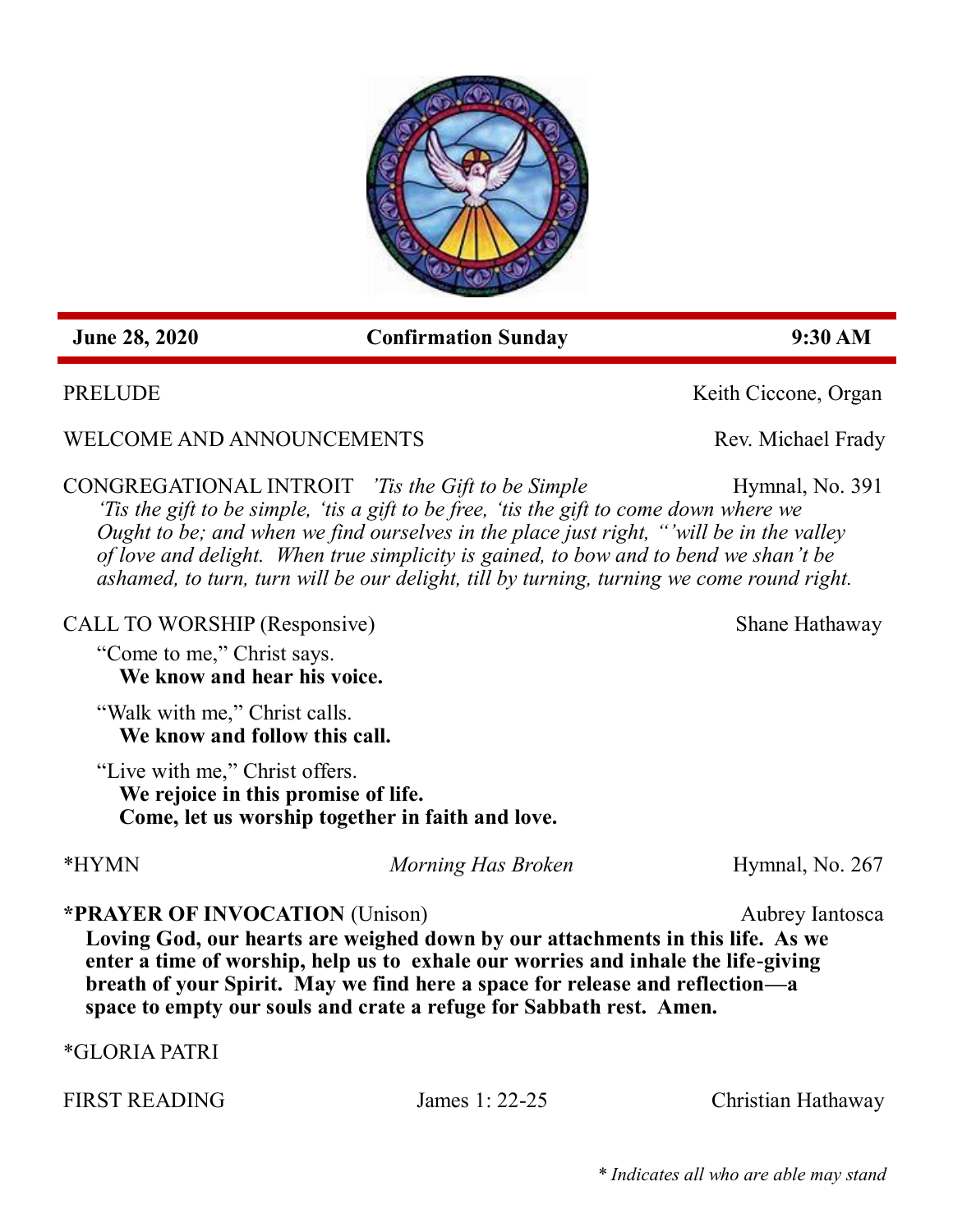*\* Indicates all who are able may stand* 

 **June 28, 2020 Confirmation Sunday 9:30 AM**

WELCOME AND ANNOUNCEMENTS Rev. Michael Frady

CONGREGATIONAL INTROIT *Tis the Gift to be Simple* Hymnal, No. 391 *'Tis the gift to be simple, 'tis a gift to be free, 'tis the gift to come down where we Ought to be; and when we find ourselves in the place just right, "'will be in the valley of love and delight. When true simplicity is gained, to bow and to bend we shan't be ashamed, to turn, turn will be our delight, till by turning, turning we come round right.*

CALL TO WORSHIP (Responsive) Shane Hathaway

"Come to me," Christ says. **We know and hear his voice.**

"Walk with me," Christ calls. **We know and follow this call.**

"Live with me," Christ offers. **We rejoice in this promise of life. Come, let us worship together in faith and love.**

**\*PRAYER OF INVOCATION** (Unison) Aubrey Iantosca

**Loving God, our hearts are weighed down by our attachments in this life. As we enter a time of worship, help us to exhale our worries and inhale the life-giving breath of your Spirit. May we find here a space for release and reflection—a space to empty our souls and crate a refuge for Sabbath rest. Amen.**

\*GLORIA PATRI

PRELUDE Keith Ciccone, Organ

\*HYMN *Morning Has Broken* Hymnal, No. 267

FIRST READING **I** James 1: 22-25 Christian Hathaway

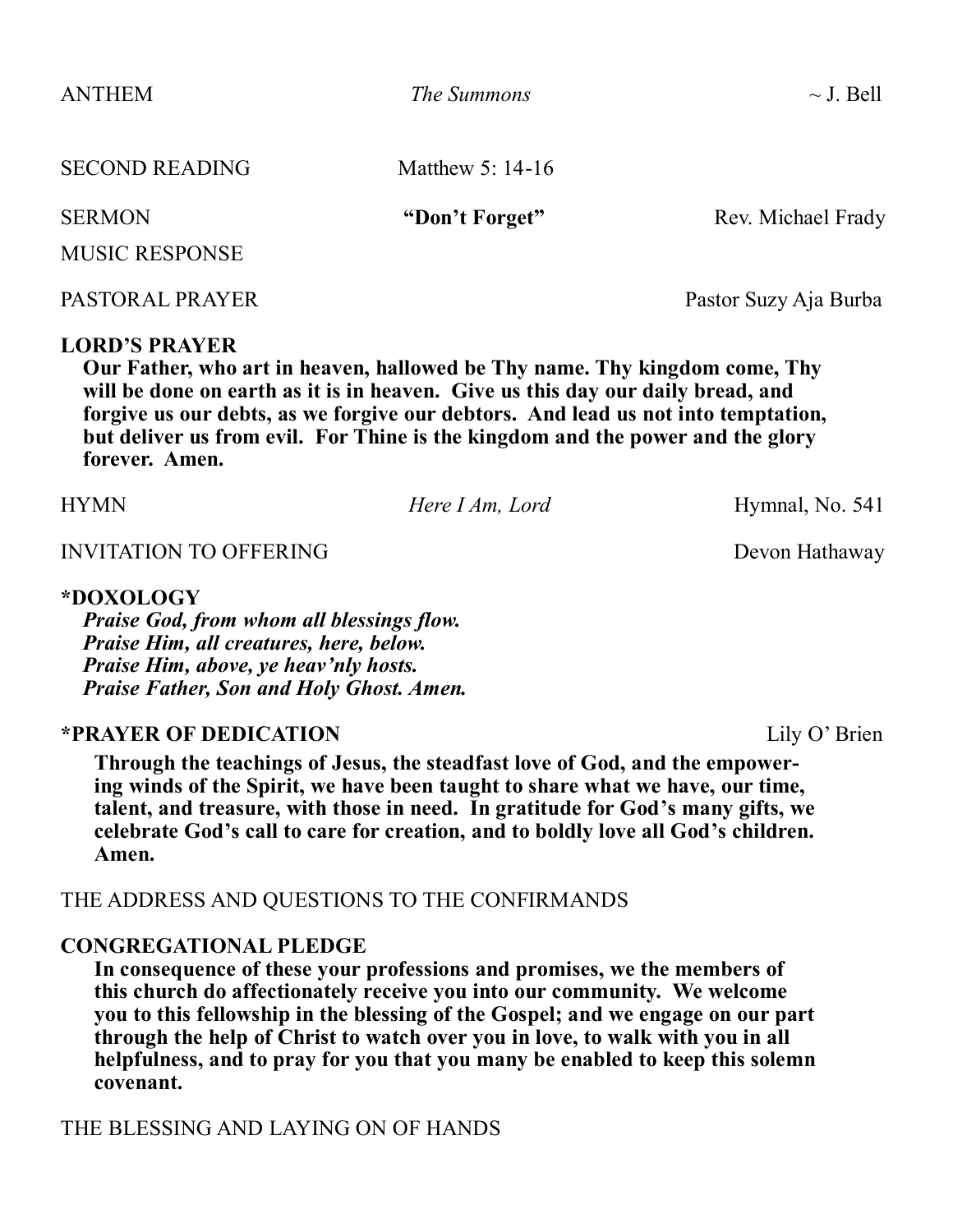| <b>ANTHEM</b><br><b>SECOND READING</b><br><b>SERMON</b><br><b>MUSIC RESPONSE</b> | The Summons<br>Matthew 5: $14-16$<br>"Don't Forget" | $\sim$ J. Bell<br>Rev. Michael Frady |                 |  |                       |
|----------------------------------------------------------------------------------|-----------------------------------------------------|--------------------------------------|-----------------|--|-----------------------|
|                                                                                  |                                                     |                                      | PASTORAL PRAYER |  | Pastor Suzy Aja Burba |

#### **LORD'S PRAYER**

**Our Father, who art in heaven, hallowed be Thy name. Thy kingdom come, Thy will be done on earth as it is in heaven. Give us this day our daily bread, and forgive us our debts, as we forgive our debtors. And lead us not into temptation, but deliver us from evil. For Thine is the kingdom and the power and the glory forever. Amen.**

INVITATION TO OFFERING DEVOLUTION OF EXAMPLE 2012 11:30

#### **\*DOXOLOGY**

*Praise God, from whom all blessings flow. Praise Him, all creatures, here, below. Praise Him, above, ye heav'nly hosts. Praise Father, Son and Holy Ghost. Amen.*

### **\*PRAYER OF DEDICATION** Lily O' Brien

**Through the teachings of Jesus, the steadfast love of God, and the empowering winds of the Spirit, we have been taught to share what we have, our time, talent, and treasure, with those in need. In gratitude for God's many gifts, we celebrate God's call to care for creation, and to boldly love all God's children. Amen.**

## THE ADDRESS AND QUESTIONS TO THE CONFIRMANDS

### **CONGREGATIONAL PLEDGE**

**In consequence of these your professions and promises, we the members of this church do affectionately receive you into our community. We welcome you to this fellowship in the blessing of the Gospel; and we engage on our part through the help of Christ to watch over you in love, to walk with you in all helpfulness, and to pray for you that you many be enabled to keep this solemn covenant.** 

### THE BLESSING AND LAYING ON OF HANDS

HYMN *Here I Am, Lord* Hymnal, No. 541